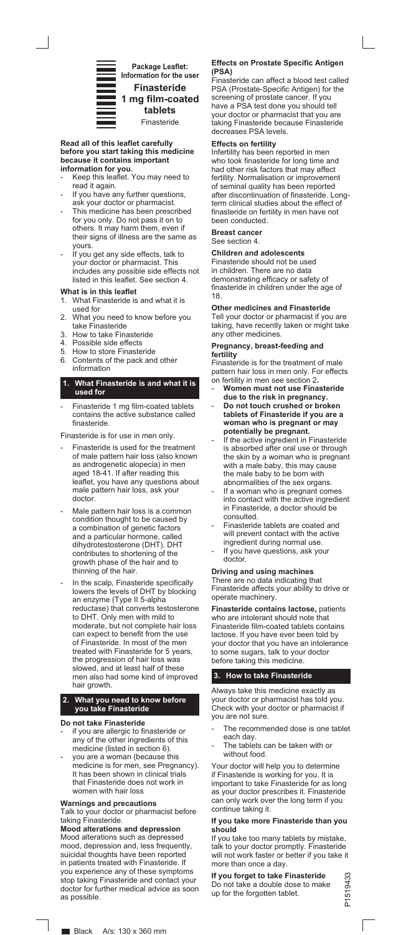

**1 mg film-coated tablets** Finasteride

#### **Read all of this leaflet carefully before you start taking this medicine because it contains important information for you.**

- Keep this leaflet. You may need to read it again.
- If you have any further questions, ask your doctor or pharmacist.
- This medicine has been prescribed for you only. Do not pass it on to others. It may harm them, even if their signs of illness are the same as yours.
- If you get any side effects, talk to your doctor or pharmacist. This includes any possible side effects not listed in this leaflet. See section 4.

#### **What is in this leaflet**

- 1. What Finasteride is and what it is used for
- 2. What you need to know before you take Finasteride
- 3. How to take Finasteride
- 4. Possible side effects
- 5. How to store Finasteride
- 6. Contents of the pack and other information

# **1. What Finasteride is and what it is used for**

Finasteride 1 mg film-coated tablets contains the active substance called finasteride.

Finasteride is for use in men only.

- Finasteride is used for the treatment of male pattern hair loss (also known as androgenetic alopecia) in men aged 18-41. If after reading this leaflet, you have any questions about male pattern hair loss, ask your doctor.
- Male pattern hair loss is a common condition thought to be caused by a combination of genetic factors and a particular hormone, called dihydrotestosterone (DHT). DHT contributes to shortening of the growth phase of the hair and to thinning of the hair.
- In the scalp, Finasteride specifically lowers the levels of DHT by blocking an enzyme (Type II 5-alpha reductase) that converts testosterone to DHT. Only men with mild to moderate, but not complete hair loss can expect to benefit from the use of Finasteride. In most of the men treated with Finasteride for 5 years, the progression of hair loss was slowed, and at least half of these men also had some kind of improved hair growth

#### **2. What you need to know before you take Finasteride**

#### **Do not take Finasteride**

- if you are allergic to finasteride or any of the other ingredients of this medicine (listed in section 6).
- you are a woman (because this medicine is for men, see Pregnancy). It has been shown in clinical trials that Finasteride does not work in women with hair loss

### **Warnings and precautions**

Talk to your doctor or pharmacist before taking Finasteride.

# **Mood alterations and depression**

Mood alterations such as depressed mood, depression and, less frequently, suicidal thoughts have been reported in patients treated with Finasteride. If you experience any of these symptoms stop taking Finasteride and contact your doctor for further medical advice as soon as possible.

#### **Effects on Prostate Specific Antigen (PSA)**

Finasteride can affect a blood test called PSA (Prostate-Specific Antigen) for the screening of prostate cancer. If you have a PSA test done you should tell your doctor or pharmacist that you are taking Finasteride because Finasteride decreases PSA levels.

### **Effects on fertility**

Infertility has been reported in men who took finasteride for long time and had other risk factors that may affect fertility. Normalisation or improvement of seminal quality has been reported after discontinuation of finasteride. Longterm clinical studies about the effect of finasteride on fertility in men have not been conducted.

# **Breast cancer**

See section 4.

## **Children and adolescents**

Finasteride should not be used in children. There are no data demonstrating efficacy or safety of finasteride in children under the age of 18.

**Other medicines and Finasteride**  Tell your doctor or pharmacist if you are taking, have recently taken or might take any other medicines.

#### **Pregnancy, breast-feeding and fertility**

Finasteride is for the treatment of male pattern hair loss in men only. For effects on fertility in men see section 2**.**

- **Women must not use Finasteride**
- **due to the risk in pregnancy.**  - **Do not touch crushed or broken tablets of Finasteride if you are a woman who is pregnant or may potentially be pregnant.**
- If the active ingredient in Finasteride is absorbed after oral use or through the skin by a woman who is pregnant with a male baby, this may cause the male baby to be born with abnormalities of the sex organs.
- If a woman who is pregnant comes into contact with the active ingredient in Finasteride, a doctor should be consulted.
- Finasteride tablets are coated and will prevent contact with the active ingredient during normal use.
- If you have questions, ask your doctor.

#### **Driving and using machines** There are no data indicating that Finasteride affects your ability to drive or operate machinery.

**Finasteride contains lactose,** patients who are intolerant should note that Finasteride film-coated tablets contains lactose. If you have ever been told by your doctor that you have an intolerance to some sugars, talk to your doctor before taking this medicine.

# **3. How to take Finasteride**

Always take this medicine exactly as your doctor or pharmacist has told you. Check with your doctor or pharmacist if you are not sure.

- The recommended dose is one tablet each day.
- The tablets can be taken with or without food.

Your doctor will help you to determine if Finasteride is working for you. It is important to take Finasteride for as long as your doctor prescribes it. Finasteride can only work over the long term if you continue taking it.

#### **If you take more Finasteride than you should**

If you take too many tablets by mistake, talk to your doctor promptly. Finasteride will not work faster or better if you take it more than once a day.

**If you forget to take Finasteride**  Do not take a double dose to make up for the forgotten tablet.